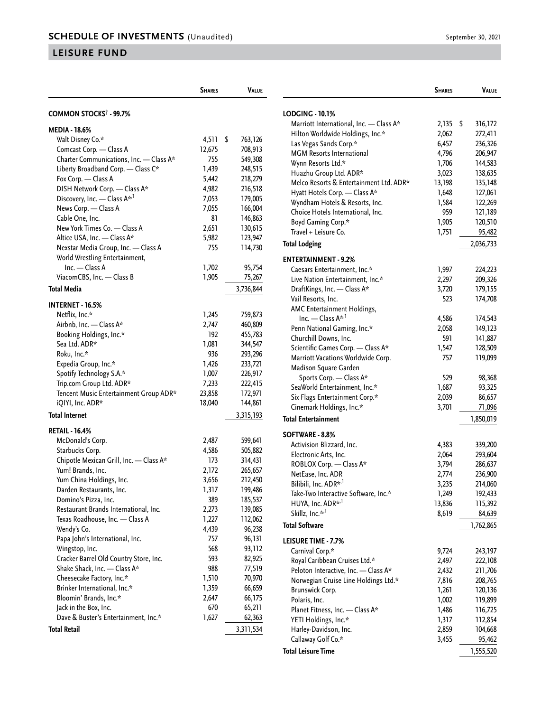## **LEISURE FUND**

|                                          | <b>SHARES</b> | <b>VALUE</b>  |  |  |  |
|------------------------------------------|---------------|---------------|--|--|--|
| COMMON STOCKS <sup>†</sup> - 99.7%       |               |               |  |  |  |
| MEDIA - 18.6%                            |               |               |  |  |  |
| Walt Disney Co.*                         | 4,511         | \$<br>763,126 |  |  |  |
| Comcast Corp. - Class A                  | 12,675        | 708,913       |  |  |  |
| Charter Communications, Inc. - Class A*  | 755           | 549,308       |  |  |  |
| Liberty Broadband Corp. - Class C*       | 1,439         | 248,515       |  |  |  |
| Fox Corp. — Class A                      | 5,442         | 218,279       |  |  |  |
| DISH Network Corp. - Class A*            | 4,982         | 216,518       |  |  |  |
| Discovery, Inc. - Class A* <sup>,1</sup> | 7,053         | 179,005       |  |  |  |
| News Corp. - Class A                     | 7,055         | 166,004       |  |  |  |
| Cable One, Inc.                          | 81            | 146,863       |  |  |  |
| New York Times Co. — Class A             | 2,651         | 130,615       |  |  |  |
| Altice USA, Inc. - Class A*              | 5,982         | 123,947       |  |  |  |
| Nexstar Media Group, Inc. - Class A      | 755           | 114,730       |  |  |  |
| World Wrestling Entertainment,           |               |               |  |  |  |
| Inc. - Class A                           | 1,702         | 95,754        |  |  |  |
| ViacomCBS, Inc. - Class B                | 1,905         | 75,267        |  |  |  |
| <b>Total Media</b>                       |               | 3,736,844     |  |  |  |
|                                          |               |               |  |  |  |
| <b>INTERNET - 16.5%</b>                  |               |               |  |  |  |
| Netflix, Inc.*                           | 1,245         | 759,873       |  |  |  |
| Airbnb, Inc. - Class A*                  | 2,747         | 460,809       |  |  |  |
| Booking Holdings, Inc.*                  | 192           | 455,783       |  |  |  |
| Sea Ltd. ADR*                            | 1,081         | 344,547       |  |  |  |
| Roku, Inc.*                              | 936           | 293,296       |  |  |  |
| Expedia Group, Inc.*                     | 1,426         | 233,721       |  |  |  |
| Spotify Technology S.A.*                 | 1,007         | 226,917       |  |  |  |
| Trip.com Group Ltd. ADR*                 | 7,233         | 222,415       |  |  |  |
| Tencent Music Entertainment Group ADR*   | 23,858        | 172,971       |  |  |  |
| iQIYI, Inc. ADR*                         | 18,040        | 144,861       |  |  |  |
| <b>Total Internet</b>                    |               | 3,315,193     |  |  |  |
| <b>RETAIL - 16.4%</b>                    |               |               |  |  |  |
| McDonald's Corp.                         | 2,487         | 599,641       |  |  |  |
| Starbucks Corp.                          | 4,586         | 505,882       |  |  |  |
| Chipotle Mexican Grill, Inc. - Class A*  | 173           | 314,431       |  |  |  |
| Yum! Brands, Inc.                        | 2,172         | 265,657       |  |  |  |
| Yum China Holdings, Inc.                 | 3,656         | 212,450       |  |  |  |
| Darden Restaurants, Inc.                 | 1,317         | 199,486       |  |  |  |
| Domino's Pizza, Inc.                     | 389           | 185,537       |  |  |  |
| Restaurant Brands International, Inc.    | 2,273         | 139,085       |  |  |  |
| Texas Roadhouse, Inc. - Class A          | 1,227         | 112,062       |  |  |  |
| Wendy's Co.                              | 4,439         | 96,238        |  |  |  |
| Papa John's International, Inc.          | 757           | 96,131        |  |  |  |
| Wingstop, Inc.                           | 568           | 93,112        |  |  |  |
| Cracker Barrel Old Country Store, Inc.   | 593           | 82,925        |  |  |  |
| Shake Shack, Inc. - Class A*             | 988           | 77,519        |  |  |  |
| Cheesecake Factory, Inc.*                | 1,510         | 70,970        |  |  |  |
| Brinker International, Inc.*             | 1,359         | 66,659        |  |  |  |
| Bloomin' Brands, Inc.*                   | 2,647         | 66,175        |  |  |  |
| Jack in the Box, Inc.                    | 670           | 65,211        |  |  |  |
| Dave & Buster's Entertainment, Inc.*     | 1,627         | 62,363        |  |  |  |
| <b>Total Retail</b>                      |               | 3,311,534     |  |  |  |

|                                         | <b>SHARES</b> | VALUE     |  |  |
|-----------------------------------------|---------------|-----------|--|--|
|                                         |               |           |  |  |
| LODGING - 10.1%                         |               | \$        |  |  |
| Marriott International, Inc. - Class A* | 2,135         | 316,172   |  |  |
| Hilton Worldwide Holdings, Inc.*        | 2,062         | 272,411   |  |  |
| Las Vegas Sands Corp.*                  | 6,457         | 236,326   |  |  |
| <b>MGM Resorts International</b>        | 4,796         | 206,947   |  |  |
| Wynn Resorts Ltd.*                      | 1,706         | 144,583   |  |  |
| Huazhu Group Ltd. ADR*                  | 3,023         | 138,635   |  |  |
| Melco Resorts & Entertainment Ltd. ADR* | 13,198        | 135,148   |  |  |
| Hyatt Hotels Corp. - Class A*           | 1,648         | 127,061   |  |  |
| Wyndham Hotels & Resorts, Inc.          | 1,584         | 122,269   |  |  |
| Choice Hotels International, Inc.       | 959           | 121,189   |  |  |
| Boyd Gaming Corp.*                      | 1,905         | 120,510   |  |  |
| Travel + Leisure Co.                    | 1,751         | 95,482    |  |  |
| <b>Total Lodging</b>                    |               | 2,036,733 |  |  |
| <b>ENTERTAINMENT - 9.2%</b>             |               |           |  |  |
| Caesars Entertainment, Inc.*            | 1,997         | 224,223   |  |  |
| Live Nation Entertainment, Inc.*        | 2,297         | 209,326   |  |  |
| DraftKings, Inc. - Class A*             | 3,720         | 179,155   |  |  |
| Vail Resorts, Inc.                      | 523           | 174,708   |  |  |
| AMC Entertainment Holdings,             |               |           |  |  |
| Inc. — Class $A^{\star,1}$              | 4,586         | 174,543   |  |  |
| Penn National Gaming, Inc.*             | 2,058         | 149,123   |  |  |
| Churchill Downs, Inc.                   | 591           | 141,887   |  |  |
| Scientific Games Corp. - Class A*       | 1,547         | 128,509   |  |  |
| Marriott Vacations Worldwide Corp.      | 757           | 119,099   |  |  |
| Madison Square Garden                   |               |           |  |  |
| Sports Corp. - Class A*                 | 529           | 98,368    |  |  |
| SeaWorld Entertainment, Inc.*           | 1,687         | 93,325    |  |  |
| Six Flags Entertainment Corp.*          | 2,039         | 86,657    |  |  |
| Cinemark Holdings, Inc.*                | 3,701         | 71,096    |  |  |
| <b>Total Entertainment</b>              |               | 1,850,019 |  |  |
| SOFTWARE - 8.8%                         |               |           |  |  |
| Activision Blizzard, Inc.               | 4,383         | 339,200   |  |  |
| Electronic Arts, Inc.                   | 2,064         | 293,604   |  |  |
| ROBLOX Corp. - Class A*                 | 3,794         | 286,637   |  |  |
| NetEase, Inc. ADR                       | 2,774         | 236,900   |  |  |
| Bilibili, Inc. ADR* <sup>, 1</sup>      | 3,235         | 214,060   |  |  |
| Take-Two Interactive Software, Inc.*    | 1,249         | 192,433   |  |  |
| HUYA, Inc. ADR* <sup>, 1</sup>          | 13,836        | 115,392   |  |  |
| Skillz, Inc.* <sup>,1</sup>             | 8,619         | 84,639    |  |  |
| <b>Total Software</b>                   |               | 1,762,865 |  |  |
| <b>LEISURE TIME - 7.7%</b>              |               |           |  |  |
| Carnival Corp.*                         | 9,724         | 243,197   |  |  |
| Royal Caribbean Cruises Ltd.*           | 2,497         | 222,108   |  |  |
| Peloton Interactive, Inc. - Class A*    | 2,432         | 211,706   |  |  |
| Norwegian Cruise Line Holdings Ltd.*    | 7,816         | 208,765   |  |  |
| Brunswick Corp.                         | 1,261         | 120,136   |  |  |
| Polaris, Inc.                           | 1,002         | 119,899   |  |  |
| Planet Fitness, Inc. - Class A*         | 1,486         | 116,725   |  |  |
| YETI Holdings, Inc.*                    | 1,317         | 112,854   |  |  |
| Harley-Davidson, Inc.                   | 2,859         | 104,668   |  |  |
| Callaway Golf Co.*                      | 3,455         | 95,462    |  |  |
| <b>Total Leisure Time</b>               |               | 1,555,520 |  |  |
|                                         |               |           |  |  |